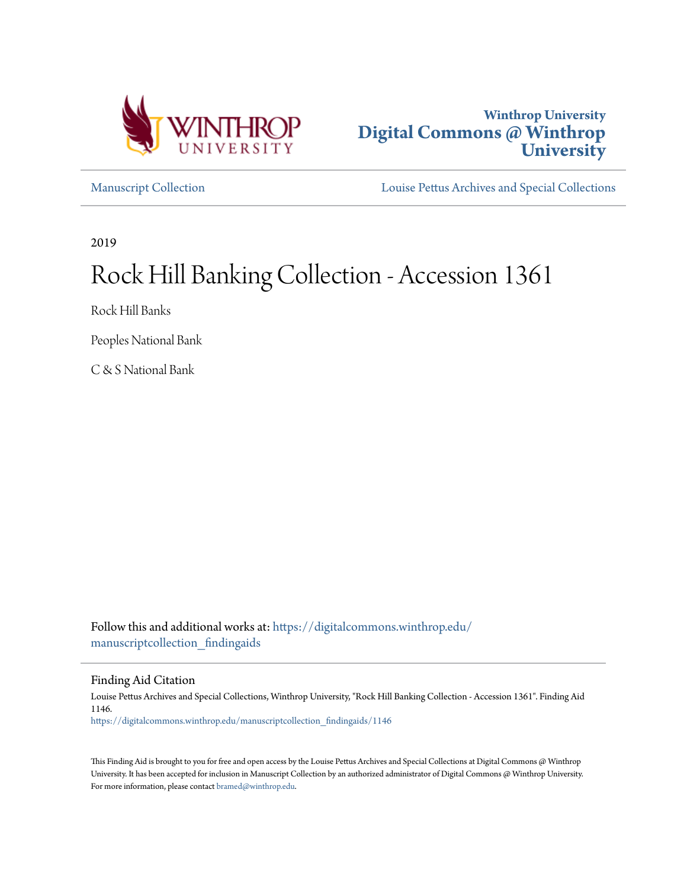



[Manuscript Collection](https://digitalcommons.winthrop.edu/manuscriptcollection_findingaids?utm_source=digitalcommons.winthrop.edu%2Fmanuscriptcollection_findingaids%2F1146&utm_medium=PDF&utm_campaign=PDFCoverPages) [Louise Pettus Archives and Special Collections](https://digitalcommons.winthrop.edu/pettus_archives?utm_source=digitalcommons.winthrop.edu%2Fmanuscriptcollection_findingaids%2F1146&utm_medium=PDF&utm_campaign=PDFCoverPages)

2019

# Rock Hill Banking Collection - Accession 1361

Rock Hill Banks

Peoples National Bank

C & S National Bank

Follow this and additional works at: [https://digitalcommons.winthrop.edu/](https://digitalcommons.winthrop.edu/manuscriptcollection_findingaids?utm_source=digitalcommons.winthrop.edu%2Fmanuscriptcollection_findingaids%2F1146&utm_medium=PDF&utm_campaign=PDFCoverPages) [manuscriptcollection\\_findingaids](https://digitalcommons.winthrop.edu/manuscriptcollection_findingaids?utm_source=digitalcommons.winthrop.edu%2Fmanuscriptcollection_findingaids%2F1146&utm_medium=PDF&utm_campaign=PDFCoverPages)

Finding Aid Citation

Louise Pettus Archives and Special Collections, Winthrop University, "Rock Hill Banking Collection - Accession 1361". Finding Aid 1146. [https://digitalcommons.winthrop.edu/manuscriptcollection\\_findingaids/1146](https://digitalcommons.winthrop.edu/manuscriptcollection_findingaids/1146?utm_source=digitalcommons.winthrop.edu%2Fmanuscriptcollection_findingaids%2F1146&utm_medium=PDF&utm_campaign=PDFCoverPages)

This Finding Aid is brought to you for free and open access by the Louise Pettus Archives and Special Collections at Digital Commons @ Winthrop University. It has been accepted for inclusion in Manuscript Collection by an authorized administrator of Digital Commons @ Winthrop University. For more information, please contact [bramed@winthrop.edu.](mailto:bramed@winthrop.edu)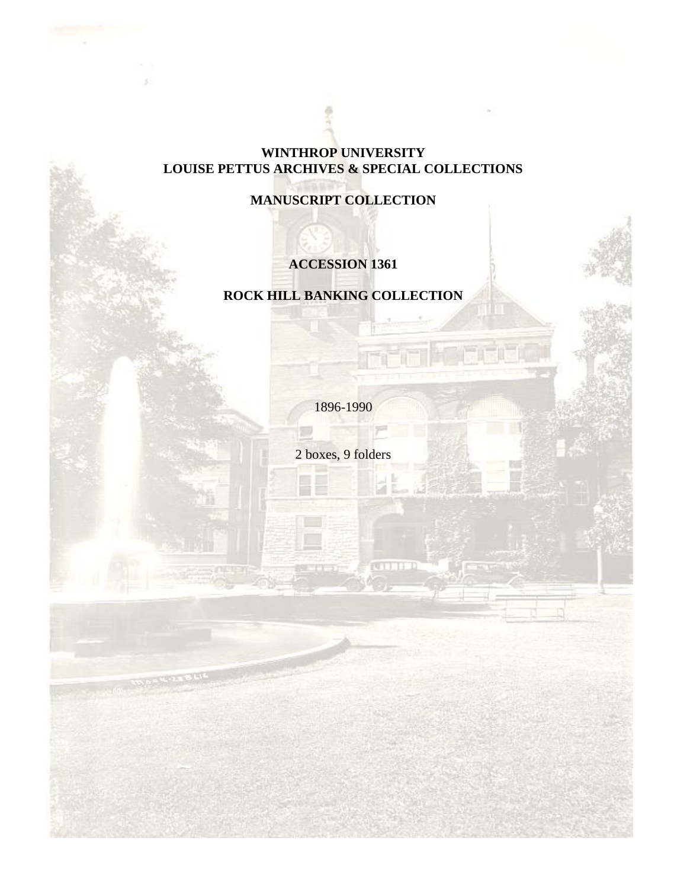## **WINTHROP UNIVERSITY LOUISE PETTUS ARCHIVES & SPECIAL COLLECTIONS**

**MANUSCRIPT COLLECTION**

# **ACCESSION 1361**

# **ROCK HILL BANKING COLLECTION**

1896-1990

2 boxes, 9 folders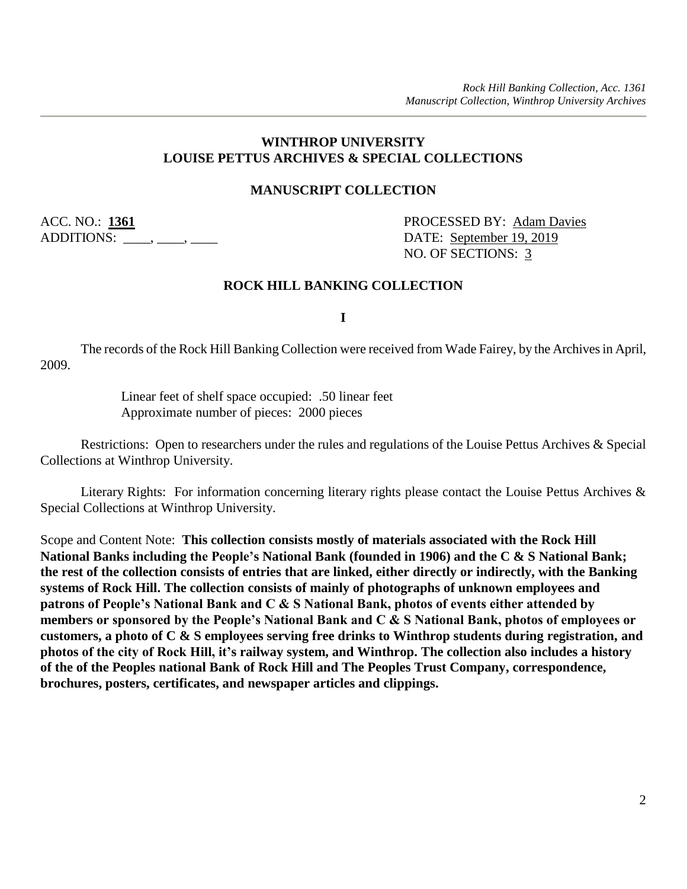#### **WINTHROP UNIVERSITY LOUISE PETTUS ARCHIVES & SPECIAL COLLECTIONS**

#### **MANUSCRIPT COLLECTION**

ADDITIONS: \_\_\_\_, \_\_\_, \_\_\_\_, \_\_\_\_\_ DATE: <u>September 19, 2019</u>

ACC. NO.: **1361** PROCESSED BY: Adam Davies NO. OF SECTIONS: 3

#### **ROCK HILL BANKING COLLECTION**

**I**

The records of the Rock Hill Banking Collection were received from Wade Fairey, by the Archives in April, 2009.

> Linear feet of shelf space occupied: .50 linear feet Approximate number of pieces: 2000 pieces

Restrictions: Open to researchers under the rules and regulations of the Louise Pettus Archives & Special Collections at Winthrop University.

Literary Rights: For information concerning literary rights please contact the Louise Pettus Archives & Special Collections at Winthrop University.

Scope and Content Note: **This collection consists mostly of materials associated with the Rock Hill National Banks including the People's National Bank (founded in 1906) and the C & S National Bank; the rest of the collection consists of entries that are linked, either directly or indirectly, with the Banking systems of Rock Hill. The collection consists of mainly of photographs of unknown employees and patrons of People's National Bank and C & S National Bank, photos of events either attended by members or sponsored by the People's National Bank and C & S National Bank, photos of employees or customers, a photo of C & S employees serving free drinks to Winthrop students during registration, and photos of the city of Rock Hill, it's railway system, and Winthrop. The collection also includes a history of the of the Peoples national Bank of Rock Hill and The Peoples Trust Company, correspondence, brochures, posters, certificates, and newspaper articles and clippings.**